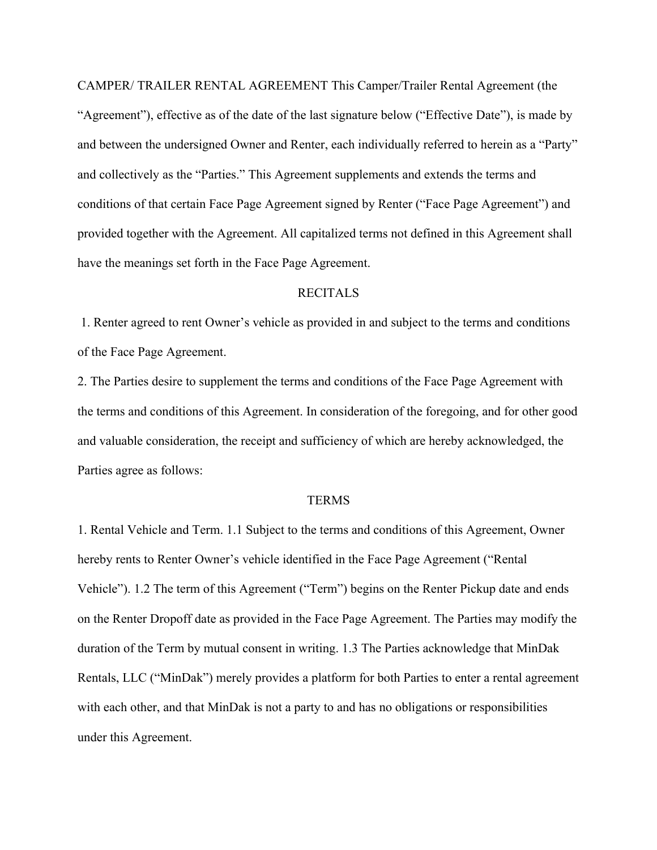CAMPER/ TRAILER RENTAL AGREEMENT This Camper/Trailer Rental Agreement (the "Agreement"), effective as of the date of the last signature below ("Effective Date"), is made by and between the undersigned Owner and Renter, each individually referred to herein as a "Party" and collectively as the "Parties." This Agreement supplements and extends the terms and conditions of that certain Face Page Agreement signed by Renter ("Face Page Agreement") and provided together with the Agreement. All capitalized terms not defined in this Agreement shall have the meanings set forth in the Face Page Agreement.

## RECITALS

1. Renter agreed to rent Owner's vehicle as provided in and subject to the terms and conditions of the Face Page Agreement.

2. The Parties desire to supplement the terms and conditions of the Face Page Agreement with the terms and conditions of this Agreement. In consideration of the foregoing, and for other good and valuable consideration, the receipt and sufficiency of which are hereby acknowledged, the Parties agree as follows:

## TERMS

1. Rental Vehicle and Term. 1.1 Subject to the terms and conditions of this Agreement, Owner hereby rents to Renter Owner's vehicle identified in the Face Page Agreement ("Rental Vehicle"). 1.2 The term of this Agreement ("Term") begins on the Renter Pickup date and ends on the Renter Dropoff date as provided in the Face Page Agreement. The Parties may modify the duration of the Term by mutual consent in writing. 1.3 The Parties acknowledge that MinDak Rentals, LLC ("MinDak") merely provides a platform for both Parties to enter a rental agreement with each other, and that MinDak is not a party to and has no obligations or responsibilities under this Agreement.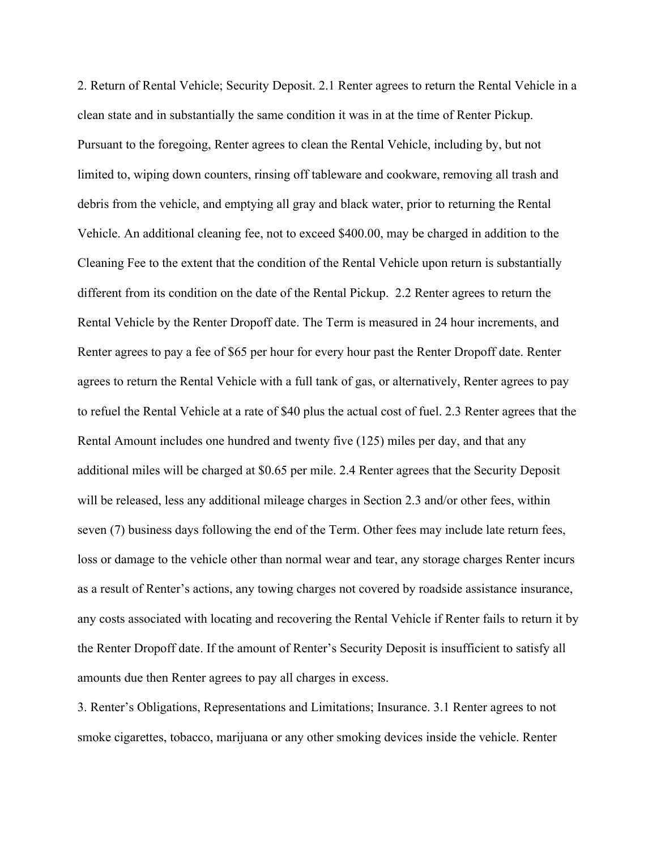2. Return of Rental Vehicle; Security Deposit. 2.1 Renter agrees to return the Rental Vehicle in a clean state and in substantially the same condition it was in at the time of Renter Pickup. Pursuant to the foregoing, Renter agrees to clean the Rental Vehicle, including by, but not limited to, wiping down counters, rinsing off tableware and cookware, removing all trash and debris from the vehicle, and emptying all gray and black water, prior to returning the Rental Vehicle. An additional cleaning fee, not to exceed \$400.00, may be charged in addition to the Cleaning Fee to the extent that the condition of the Rental Vehicle upon return is substantially different from its condition on the date of the Rental Pickup. 2.2 Renter agrees to return the Rental Vehicle by the Renter Dropoff date. The Term is measured in 24 hour increments, and Renter agrees to pay a fee of \$65 per hour for every hour past the Renter Dropoff date. Renter agrees to return the Rental Vehicle with a full tank of gas, or alternatively, Renter agrees to pay to refuel the Rental Vehicle at a rate of \$40 plus the actual cost of fuel. 2.3 Renter agrees that the Rental Amount includes one hundred and twenty five (125) miles per day, and that any additional miles will be charged at \$0.65 per mile. 2.4 Renter agrees that the Security Deposit will be released, less any additional mileage charges in Section 2.3 and/or other fees, within seven (7) business days following the end of the Term. Other fees may include late return fees, loss or damage to the vehicle other than normal wear and tear, any storage charges Renter incurs as a result of Renter's actions, any towing charges not covered by roadside assistance insurance, any costs associated with locating and recovering the Rental Vehicle if Renter fails to return it by the Renter Dropoff date. If the amount of Renter's Security Deposit is insufficient to satisfy all amounts due then Renter agrees to pay all charges in excess.

3. Renter's Obligations, Representations and Limitations; Insurance. 3.1 Renter agrees to not smoke cigarettes, tobacco, marijuana or any other smoking devices inside the vehicle. Renter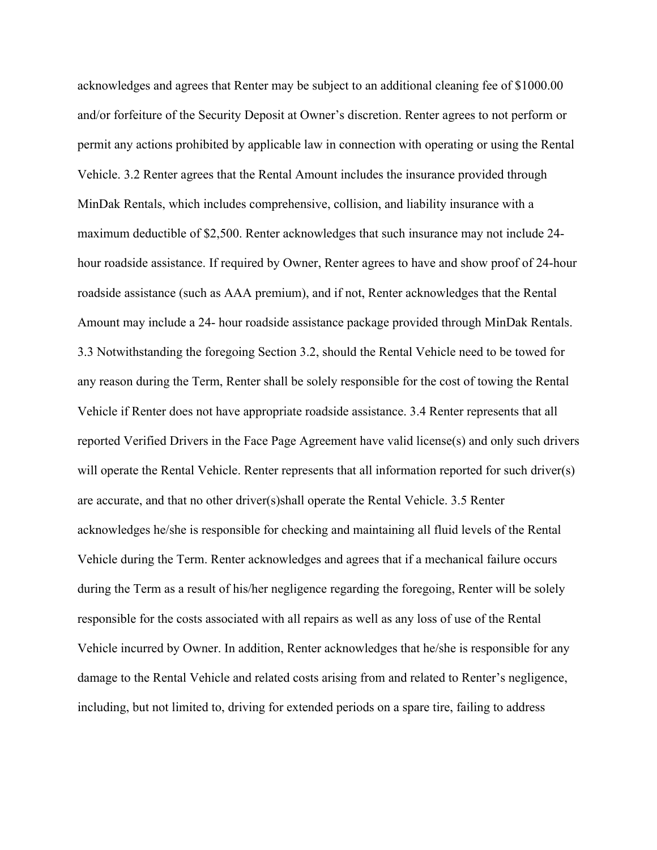acknowledges and agrees that Renter may be subject to an additional cleaning fee of \$1000.00 and/or forfeiture of the Security Deposit at Owner's discretion. Renter agrees to not perform or permit any actions prohibited by applicable law in connection with operating or using the Rental Vehicle. 3.2 Renter agrees that the Rental Amount includes the insurance provided through MinDak Rentals, which includes comprehensive, collision, and liability insurance with a maximum deductible of \$2,500. Renter acknowledges that such insurance may not include 24 hour roadside assistance. If required by Owner, Renter agrees to have and show proof of 24-hour roadside assistance (such as AAA premium), and if not, Renter acknowledges that the Rental Amount may include a 24- hour roadside assistance package provided through MinDak Rentals. 3.3 Notwithstanding the foregoing Section 3.2, should the Rental Vehicle need to be towed for any reason during the Term, Renter shall be solely responsible for the cost of towing the Rental Vehicle if Renter does not have appropriate roadside assistance. 3.4 Renter represents that all reported Verified Drivers in the Face Page Agreement have valid license(s) and only such drivers will operate the Rental Vehicle. Renter represents that all information reported for such driver(s) are accurate, and that no other driver(s)shall operate the Rental Vehicle. 3.5 Renter acknowledges he/she is responsible for checking and maintaining all fluid levels of the Rental Vehicle during the Term. Renter acknowledges and agrees that if a mechanical failure occurs during the Term as a result of his/her negligence regarding the foregoing, Renter will be solely responsible for the costs associated with all repairs as well as any loss of use of the Rental Vehicle incurred by Owner. In addition, Renter acknowledges that he/she is responsible for any damage to the Rental Vehicle and related costs arising from and related to Renter's negligence, including, but not limited to, driving for extended periods on a spare tire, failing to address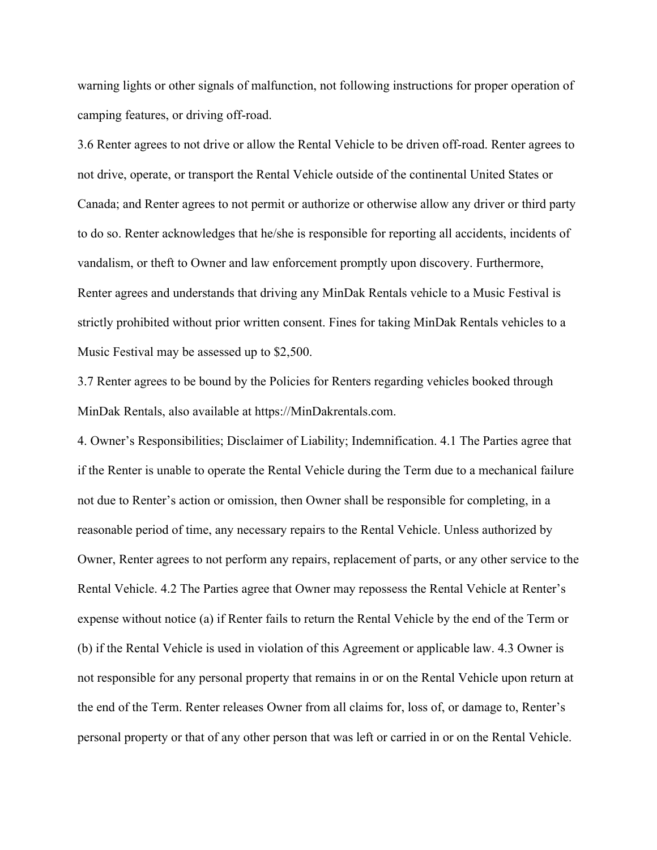warning lights or other signals of malfunction, not following instructions for proper operation of camping features, or driving off-road.

3.6 Renter agrees to not drive or allow the Rental Vehicle to be driven off-road. Renter agrees to not drive, operate, or transport the Rental Vehicle outside of the continental United States or Canada; and Renter agrees to not permit or authorize or otherwise allow any driver or third party to do so. Renter acknowledges that he/she is responsible for reporting all accidents, incidents of vandalism, or theft to Owner and law enforcement promptly upon discovery. Furthermore, Renter agrees and understands that driving any MinDak Rentals vehicle to a Music Festival is strictly prohibited without prior written consent. Fines for taking MinDak Rentals vehicles to a Music Festival may be assessed up to \$2,500.

3.7 Renter agrees to be bound by the Policies for Renters regarding vehicles booked through MinDak Rentals, also available at https://MinDakrentals.com.

4. Owner's Responsibilities; Disclaimer of Liability; Indemnification. 4.1 The Parties agree that if the Renter is unable to operate the Rental Vehicle during the Term due to a mechanical failure not due to Renter's action or omission, then Owner shall be responsible for completing, in a reasonable period of time, any necessary repairs to the Rental Vehicle. Unless authorized by Owner, Renter agrees to not perform any repairs, replacement of parts, or any other service to the Rental Vehicle. 4.2 The Parties agree that Owner may repossess the Rental Vehicle at Renter's expense without notice (a) if Renter fails to return the Rental Vehicle by the end of the Term or (b) if the Rental Vehicle is used in violation of this Agreement or applicable law. 4.3 Owner is not responsible for any personal property that remains in or on the Rental Vehicle upon return at the end of the Term. Renter releases Owner from all claims for, loss of, or damage to, Renter's personal property or that of any other person that was left or carried in or on the Rental Vehicle.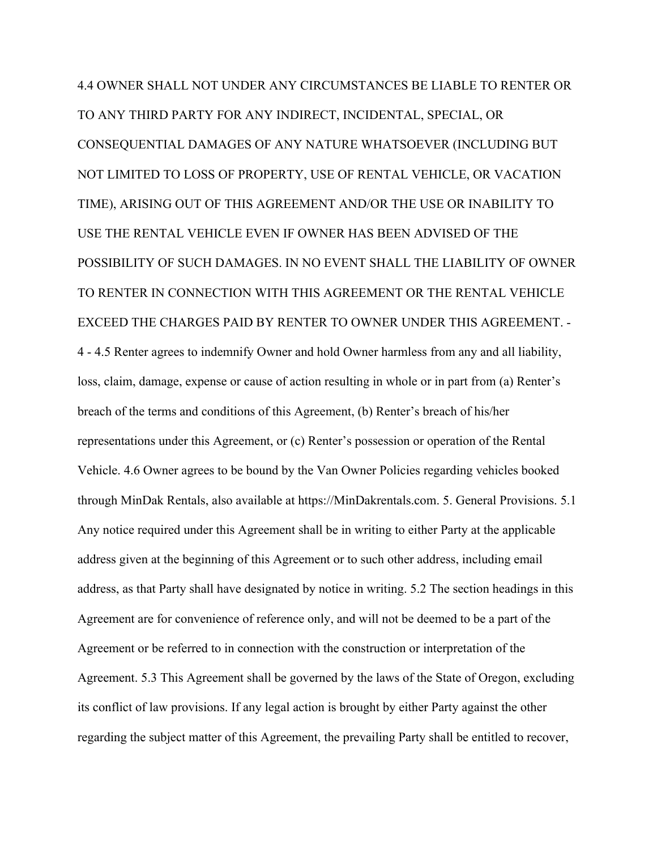4.4 OWNER SHALL NOT UNDER ANY CIRCUMSTANCES BE LIABLE TO RENTER OR TO ANY THIRD PARTY FOR ANY INDIRECT, INCIDENTAL, SPECIAL, OR CONSEQUENTIAL DAMAGES OF ANY NATURE WHATSOEVER (INCLUDING BUT NOT LIMITED TO LOSS OF PROPERTY, USE OF RENTAL VEHICLE, OR VACATION TIME), ARISING OUT OF THIS AGREEMENT AND/OR THE USE OR INABILITY TO USE THE RENTAL VEHICLE EVEN IF OWNER HAS BEEN ADVISED OF THE POSSIBILITY OF SUCH DAMAGES. IN NO EVENT SHALL THE LIABILITY OF OWNER TO RENTER IN CONNECTION WITH THIS AGREEMENT OR THE RENTAL VEHICLE EXCEED THE CHARGES PAID BY RENTER TO OWNER UNDER THIS AGREEMENT. - 4 - 4.5 Renter agrees to indemnify Owner and hold Owner harmless from any and all liability, loss, claim, damage, expense or cause of action resulting in whole or in part from (a) Renter's breach of the terms and conditions of this Agreement, (b) Renter's breach of his/her representations under this Agreement, or (c) Renter's possession or operation of the Rental Vehicle. 4.6 Owner agrees to be bound by the Van Owner Policies regarding vehicles booked through MinDak Rentals, also available at https://MinDakrentals.com. 5. General Provisions. 5.1 Any notice required under this Agreement shall be in writing to either Party at the applicable address given at the beginning of this Agreement or to such other address, including email address, as that Party shall have designated by notice in writing. 5.2 The section headings in this Agreement are for convenience of reference only, and will not be deemed to be a part of the Agreement or be referred to in connection with the construction or interpretation of the Agreement. 5.3 This Agreement shall be governed by the laws of the State of Oregon, excluding its conflict of law provisions. If any legal action is brought by either Party against the other regarding the subject matter of this Agreement, the prevailing Party shall be entitled to recover,